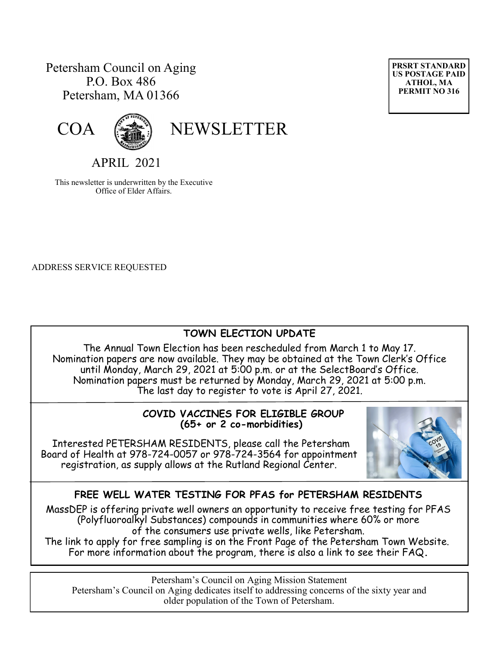## Petersham Council on Aging P.O. Box 486 Petersham, MA 01366





# COA (

APRIL 2021

This newsletter is underwritten by the Executive Office of Elder Affairs.

ADDRESS SERVICE REQUESTED

Ī

## **TOWN ELECTION UPDATE**

The Annual Town Election has been rescheduled from March 1 to May 17. Nomination papers are now available. They may be obtained at the Town Clerk's Office until Monday, March 29, 2021 at 5:00 p.m. or at the SelectBoard's Office. Nomination papers must be returned by Monday, March 29, 2021 at 5:00 p.m. The last day to register to vote is April 27, 2021.

#### **COVID VACCINES FOR ELIGIBLE GROUP (65+ or 2 co-morbidities)**

Interested PETERSHAM RESIDENTS, please call the Petersham Board of Health at 978-724-0057 or 978-724-3564 for appointment registration, as supply allows at the Rutland Regional Center.



## **FREE WELL WATER TESTING FOR PFAS for PETERSHAM RESIDENTS**

MassDEP is offering private well owners an opportunity to receive free testing for PFAS (Polyfluoroalkyl Substances) compounds in communities where 60% or more of the consumers use private wells, like Petersham.

The link to apply for free sampling is on the Front Page of the Petersham Town Website. For more information about the program, there is also a link to see their FAQ**.**

Petersham's Council on Aging Mission Statement Petersham's Council on Aging dedicates itself to addressing concerns of the sixty year and older population of the Town of Petersham.

**PRSRT STANDARD US POSTAGE PAID ATHOL, MA PERMIT NO 316**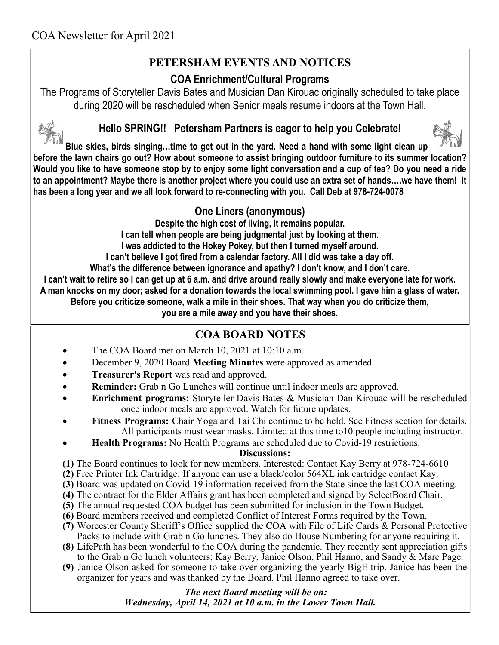# **PETERSHAM EVENTS AND NOTICES**

## **COA Enrichment/Cultural Programs**

The Programs of Storyteller Davis Bates and Musician Dan Kirouac originally scheduled to take place during 2020 will be rescheduled when Senior meals resume indoors at the Town Hall.



## **Hello SPRING!! Petersham Partners is eager to help you Celebrate!**



**Blue skies, birds singing…time to get out in the yard. Need a hand with some light clean up before the lawn chairs go out? How about someone to assist bringing outdoor furniture to its summer location? Would you like to have someone stop by to enjoy some light conversation and a cup of tea? Do you need a ride to an appointment? Maybe there is another project where you could use an extra set of hands….we have them! It has been a long year and we all look forward to re-connecting with you. Call Deb at 978-724-0078**

# **One Liners (anonymous)**

**Despite the high cost of living, it remains popular.**

**I can tell when people are being judgmental just by looking at them.**

**I was addicted to the Hokey Pokey, but then I turned myself around.**

**I can't believe I got fired from a calendar factory. All I did was take a day off.**

**What's the difference between ignorance and apathy? I don't know, and I don't care.**

**I can't wait to retire so I can get up at 6 a.m. and drive around really slowly and make everyone late for work. A man knocks on my door; asked for a donation towards the local swimming pool. I gave him a glass of water.**

**Before you criticize someone, walk a mile in their shoes. That way when you do criticize them,** 

**you are a mile away and you have their shoes.**

# **COA BOARD NOTES**

- The COA Board met on March 10, 2021 at 10:10 a.m.
- December 9, 2020 Board **Meeting Minutes** were approved as amended.
- **Treasurer's Report** was read and approved.
- **Reminder:** Grab n Go Lunches will continue until indoor meals are approved.
- **Enrichment programs:** Storyteller Davis Bates & Musician Dan Kirouac will be rescheduled once indoor meals are approved. Watch for future updates.
- **Fitness Programs:** Chair Yoga and Tai Chi continue to be held. See Fitness section for details. All participants must wear masks. Limited at this time to10 people including instructor.
- **Health Programs:** No Health Programs are scheduled due to Covid-19 restrictions.

#### **Discussions:**

**(1)** The Board continues to look for new members. Interested: Contact Kay Berry at 978-724-6610

- **(2)** Free Printer Ink Cartridge: If anyone can use a black/color 564XL ink cartridge contact Kay.
- **(3)** Board was updated on Covid-19 information received from the State since the last COA meeting.
- **(4)** The contract for the Elder Affairs grant has been completed and signed by SelectBoard Chair.
- **(5)** The annual requested COA budget has been submitted for inclusion in the Town Budget.
- **(6)** Board members received and completed Conflict of Interest Forms required by the Town.
- **(7)** Worcester County Sheriff's Office supplied the COA with File of Life Cards & Personal Protective Packs to include with Grab n Go lunches. They also do House Numbering for anyone requiring it.
- **(8)** LifePath has been wonderful to the COA during the pandemic. They recently sent appreciation gifts to the Grab n Go lunch volunteers; Kay Berry, Janice Olson, Phil Hanno, and Sandy & Marc Page.
- **(9)** Janice Olson asked for someone to take over organizing the yearly BigE trip. Janice has been the organizer for years and was thanked by the Board. Phil Hanno agreed to take over.

 *The next Board meeting will be on: Wednesday, April 14, 2021 at 10 a.m. in the Lower Town Hall.*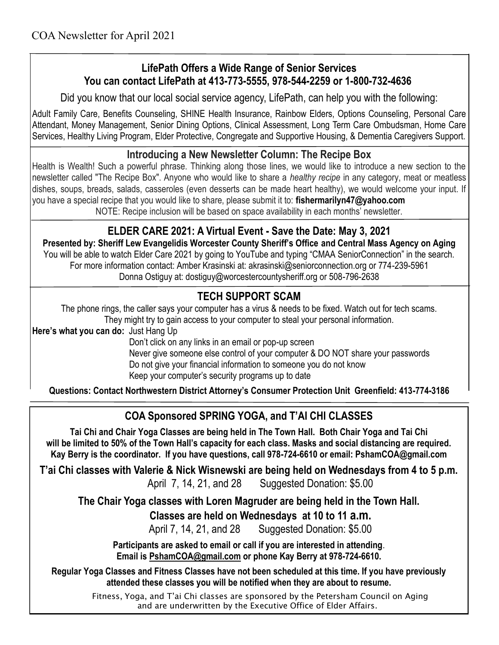## **LifePath Offers a Wide Range of Senior Services You can contact LifePath at 413-773-5555, 978-544-2259 or 1-800-732-4636**

Did you know that our local social service agency, LifePath, can help you with the following:

Adult Family Care, Benefits Counseling, SHINE Health Insurance, Rainbow Elders, Options Counseling, Personal Care Attendant, Money Management, Senior Dining Options, Clinical Assessment, Long Term Care Ombudsman, Home Care Services, Healthy Living Program, Elder Protective, Congregate and Supportive Housing, & Dementia Caregivers Support.

#### **Introducing a New Newsletter Column: The Recipe Box**

Health is Wealth! Such a powerful phrase. Thinking along those lines, we would like to introduce a new section to the newsletter called "The Recipe Box". Anyone who would like to share a *healthy recipe* in any category, meat or meatless dishes, soups, breads, salads, casseroles (even desserts can be made heart healthy), we would welcome your input. If you have a special recipe that you would like to share, please submit it to: **[fishermarilyn47@yahoo.com](mailto:fishermarilyn47@yahoo.com)**

NOTE: Recipe inclusion will be based on space availability in each months' newsletter.

#### **ELDER CARE 2021: A Virtual Event - Save the Date: May 3, 2021**

**Presented by: Sheriff Lew Evangelidis Worcester County Sheriff's Office and Central Mass Agency on Aging** You will be able to watch Elder Care 2021 by going to YouTube and typing "CMAA SeniorConnection" in the search. For more information contact: Amber Krasinski at: akrasinski@seniorconnection.org or 774-239-5961 Donna Ostiguy at: dostiguy@worcestercountysheriff.org or 508-796-2638

## **TECH SUPPORT SCAM**

The phone rings, the caller says your computer has a virus & needs to be fixed. Watch out for tech scams. They might try to gain access to your computer to steal your personal information.

**Here's what you can do:** Just Hang Up

Don't click on any links in an email or pop-up screen

 Never give someone else control of your computer & DO NOT share your passwords Do not give your financial information to someone you do not know Keep your computer's security programs up to date

**Questions: Contact Northwestern District Attorney's Consumer Protection Unit Greenfield: 413-774-3186**

## **COA Sponsored SPRING YOGA, and T'AI CHI CLASSES**

**Tai Chi and Chair Yoga Classes are being held in The Town Hall. Both Chair Yoga and Tai Chi will be limited to 50% of the Town Hall's capacity for each class. Masks and social distancing are required. Kay Berry is the coordinator. If you have questions, call 978-724-6610 or email: PshamCOA@gmail.com**

**T'ai Chi classes with Valerie & Nick Wisnewski are being held on Wednesdays from 4 to 5 p.m.** 

April 7, 14, 21, and 28 Suggested Donation: \$5.00

**The Chair Yoga classes with Loren Magruder are being held in the Town Hall.**

 **Classes are held on Wednesdays at 10 to 11 a.m.**

April 7, 14, 21, and 28 Suggested Donation: \$5.00

**Participants are asked to email or call if you are interested in attending**. **Email is [PshamCOA@gmail.com](mailto:PshamCOA@gmail.com) or phone Kay Berry at 978-724-6610.** 

**Regular Yoga Classes and Fitness Classes have not been scheduled at this time. If you have previously attended these classes you will be notified when they are about to resume.**

> Fitness, Yoga, and T'ai Chi classes are sponsored by the Petersham Council on Aging and are underwritten by the Executive Office of Elder Affairs.